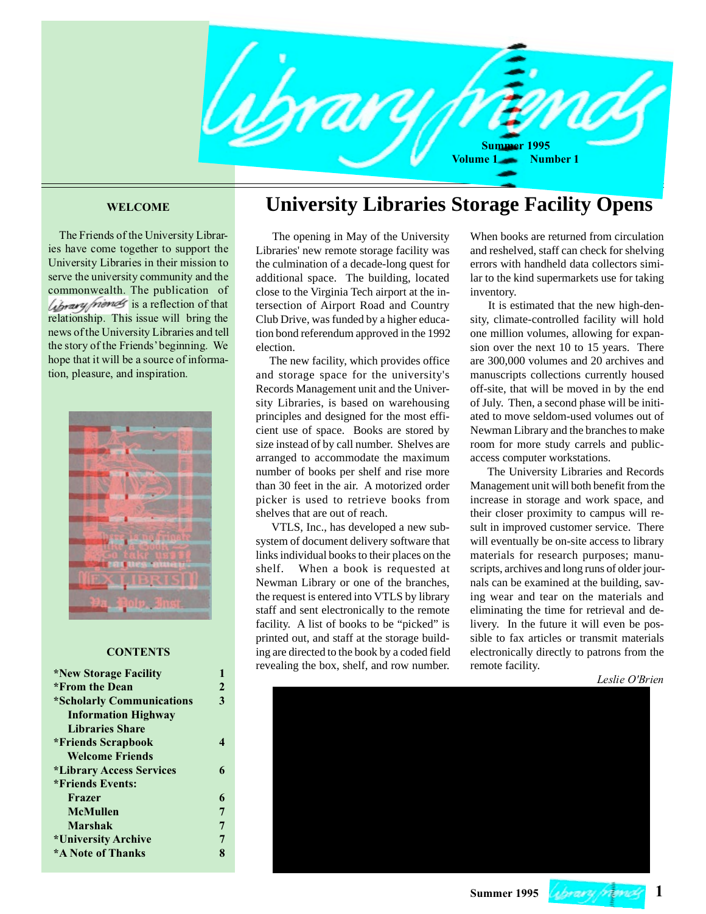

 The Friends of the University Libraries have come together to support the University Libraries in their mission to serve the university community and the commonwealth. The publication of *Library friends* is a reflection of that relationship. This issue will bring the news of the University Libraries and tell the story of the Friends' beginning. We hope that it will be a source of information, pleasure, and inspiration.



#### **CONTENTS**

| <i><b>*New Storage Facility</b></i>    |                  | revealing the box, shell, and low humbel. | TUHUW TAUHITY. |                |
|----------------------------------------|------------------|-------------------------------------------|----------------|----------------|
|                                        |                  |                                           |                | Leslie O'Brien |
| *From the Dean                         |                  |                                           |                |                |
| *Scholarly Communications              | 3                |                                           |                |                |
| <b>Information Highway</b>             |                  |                                           |                |                |
| <b>Libraries Share</b>                 |                  |                                           |                |                |
| <i><b>*Friends Scrapbook</b></i>       | $\boldsymbol{4}$ |                                           |                |                |
| <b>Welcome Friends</b>                 |                  |                                           |                |                |
| <i><b>*Library Access Services</b></i> | 6                |                                           |                |                |
| <i>*</i> Friends Events:               |                  |                                           |                |                |
| Frazer                                 | 6                |                                           |                |                |
| <b>McMullen</b>                        |                  |                                           |                |                |
| <b>Marshak</b>                         |                  |                                           |                |                |
| *University Archive                    |                  |                                           |                |                |
| <b>*A Note of Thanks</b>               | 8                |                                           |                |                |
|                                        |                  |                                           |                |                |

## **WELCOME University Libraries Storage Facility Opens**

 The opening in May of the University Libraries' new remote storage facility was the culmination of a decade-long quest for additional space. The building, located close to the Virginia Tech airport at the intersection of Airport Road and Country Club Drive, was funded by a higher education bond referendum approved in the 1992 election.

 The new facility, which provides office and storage space for the university's Records Management unit and the University Libraries, is based on warehousing principles and designed for the most efficient use of space. Books are stored by size instead of by call number. Shelves are arranged to accommodate the maximum number of books per shelf and rise more than 30 feet in the air. A motorized order picker is used to retrieve books from shelves that are out of reach.

 VTLS, Inc., has developed a new subsystem of document delivery software that links individual books to their places on the shelf. When a book is requested at Newman Library or one of the branches, the request is entered into VTLS by library staff and sent electronically to the remote facility. A list of books to be "picked" is printed out, and staff at the storage building are directed to the book by a coded field revealing the box, shelf, and row number.

When books are returned from circulation and reshelved, staff can check for shelving errors with handheld data collectors similar to the kind supermarkets use for taking inventory.

 It is estimated that the new high-density, climate-controlled facility will hold one million volumes, allowing for expansion over the next 10 to 15 years. There are 300,000 volumes and 20 archives and manuscripts collections currently housed off-site, that will be moved in by the end of July. Then, a second phase will be initiated to move seldom-used volumes out of Newman Library and the branches to make room for more study carrels and publicaccess computer workstations.

 The University Libraries and Records Management unit will both benefit from the increase in storage and work space, and their closer proximity to campus will result in improved customer service. There will eventually be on-site access to library materials for research purposes; manuscripts, archives and long runs of older journals can be examined at the building, saving wear and tear on the materials and eliminating the time for retrieval and delivery. In the future it will even be possible to fax articles or transmit materials electronically directly to patrons from the remote facility.



**Summer 1995 1**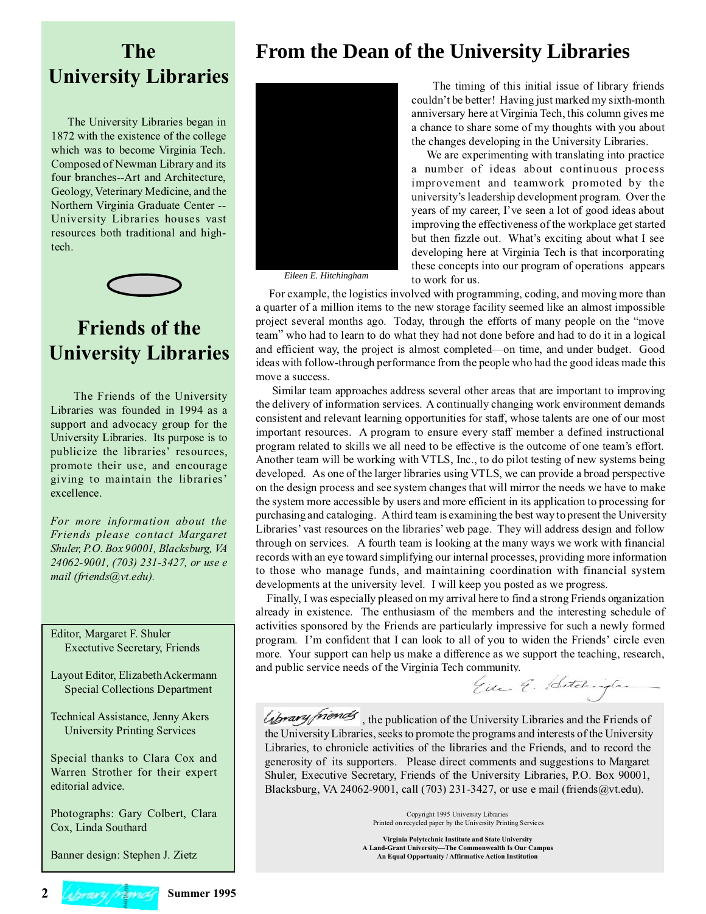## **From the Dean of the University Libraries**

## **The University Libraries**

 The University Libraries began in 1872 with the existence of the college which was to become Virginia Tech. Composed of Newman Library and its four branches--Art and Architecture, Geology, Veterinary Medicine, and the Northern Virginia Graduate Center -- University Libraries houses vast resources both traditional and hightech.



# **Friends of the University Libraries**

 The Friends of the University Libraries was founded in 1994 as a support and advocacy group for the University Libraries. Its purpose is to publicize the libraries' resources, promote their use, and encourage giving to maintain the libraries' excellence.

*For more information about the Friends please contact Margaret Shuler, P.O. Box 90001, Blacksburg, VA 24062-9001, (703) 231-3427, or use e mail (friends@vt.edu).*

Editor, Margaret F. Shuler Exectutive Secretary, Friends

Layout Editor, Elizabeth Ackermann Special Collections Department

Technical Assistance, Jenny Akers University Printing Services

Special thanks to Clara Cox and Warren Strother for their expert editorial advice.

Photographs: Gary Colbert, Clara Cox, Linda Southard

Banner design: Stephen J. Zietz



*Eileen E. Hitchingham*

 The timing of this initial issue of library friends couldn't be better! Having just marked my sixth-month anniversary here at Virginia Tech, this column gives me a chance to share some of my thoughts with you about the changes developing in the University Libraries.

 We are experimenting with translating into practice a number of ideas about continuous process improvement and teamwork promoted by the university's leadership development program. Over the years of my career, I've seen a lot of good ideas about improving the effectiveness of the workplace get started but then fizzle out. What's exciting about what I see developing here at Virginia Tech is that incorporating these concepts into our program of operations appears to work for us.

 For example, the logistics involved with programming, coding, and moving more than a quarter of a million items to the new storage facility seemed like an almost impossible project several months ago. Today, through the efforts of many people on the "move team" who had to learn to do what they had not done before and had to do it in a logical and efficient way, the project is almost completed—on time, and under budget. Good ideas with follow-through performance from the people who had the good ideas made this move a success.

 Similar team approaches address several other areas that are important to improving the delivery of information services. A continually changing work environment demands consistent and relevant learning opportunities for staff, whose talents are one of our most important resources. A program to ensure every staff member a defined instructional program related to skills we all need to be effective is the outcome of one team's effort. Another team will be working with VTLS, Inc., to do pilot testing of new systems being developed. As one of the larger libraries using VTLS, we can provide a broad perspective on the design process and see system changes that will mirror the needs we have to make the system more accessible by users and more efficient in its application to processing for purchasing and cataloging. A third team is examining the best way to present the University Libraries' vast resources on the libraries' web page. They will address design and follow through on services. A fourth team is looking at the many ways we work with financial records with an eye toward simplifying our internal processes, providing more information to those who manage funds, and maintaining coordination with financial system developments at the university level. I will keep you posted as we progress.

 Finally, I was especially pleased on my arrival here to find a strong Friends organization already in existence. The enthusiasm of the members and the interesting schedule of activities sponsored by the Friends are particularly impressive for such a newly formed program. I'm confident that I can look to all of you to widen the Friends' circle even more. Your support can help us make a difference as we support the teaching, research, and public service needs of the Virginia Tech community.<br>Either  $\acute{\epsilon}$ . Hetching

Library friends, the publication of the University Libraries and the Friends of the University Libraries, seeks to promote the programs and interests of the University Libraries, to chronicle activities of the libraries and the Friends, and to record the generosity of its supporters. Please direct comments and suggestions to Margaret Shuler, Executive Secretary, Friends of the University Libraries, P.O. Box 90001, Blacksburg, VA 24062-9001, call (703) 231-3427, or use e mail (friends@vt.edu).

> Copyright 1995 University Libraries Printed on recycled paper by the University Printing Services

**Virginia Polytechnic Institute and State University A Land-Grant University—The Commonwealth Is Our Campus An Equal Opportunity / Affirmative Action Institution**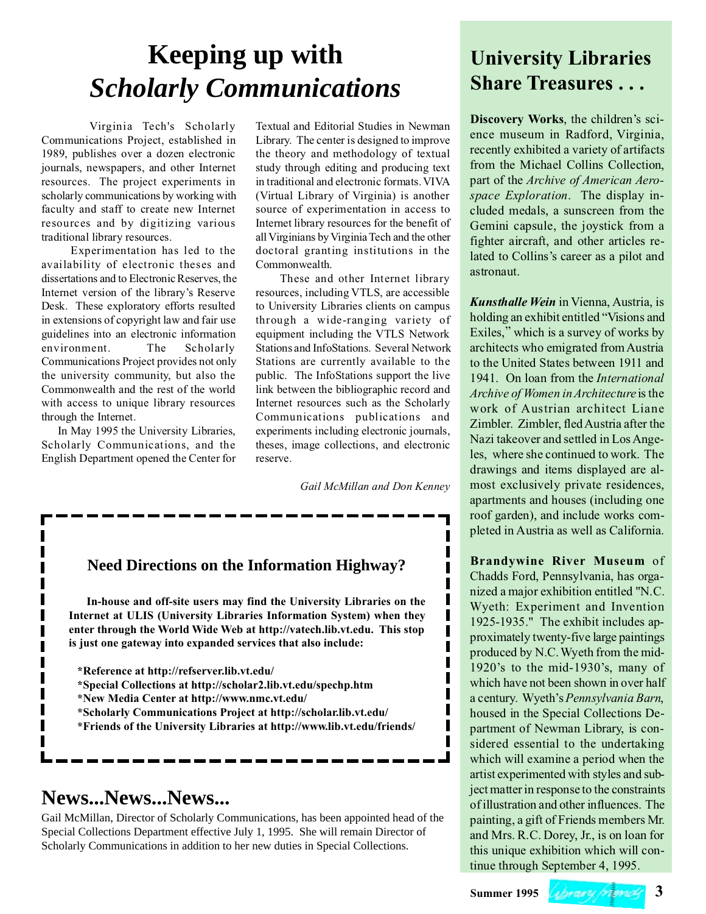# **Keeping up with** *Scholarly Communications*

Virginia Tech's Scholarly Communications Project, established in 1989, publishes over a dozen electronic journals, newspapers, and other Internet resources. The project experiments in scholarly communications by working with faculty and staff to create new Internet resources and by digitizing various traditional library resources.

 Experimentation has led to the availability of electronic theses and dissertations and to Electronic Reserves, the Internet version of the library's Reserve Desk. These exploratory efforts resulted in extensions of copyright law and fair use guidelines into an electronic information environment. The Scholarly Communications Project provides not only the university community, but also the Commonwealth and the rest of the world with access to unique library resources through the Internet.

 In May 1995 the University Libraries, Scholarly Communications, and the English Department opened the Center for Textual and Editorial Studies in Newman Library. The center is designed to improve the theory and methodology of textual study through editing and producing text in traditional and electronic formats. VIVA (Virtual Library of Virginia) is another source of experimentation in access to Internet library resources for the benefit of all Virginians by Virginia Tech and the other doctoral granting institutions in the Commonwealth.

 These and other Internet library resources, including VTLS, are accessible to University Libraries clients on campus through a wide-ranging variety of equipment including the VTLS Network Stations and InfoStations. Several Network Stations are currently available to the public. The InfoStations support the live link between the bibliographic record and Internet resources such as the Scholarly Communications publications and experiments including electronic journals, theses, image collections, and electronic reserve.

*Gail McMillan and Don Kenney*

## **Need Directions on the Information Highway?**

 **In-house and off-site users may find the University Libraries on the Internet at ULIS (University Libraries Information System) when they enter through the World Wide Web at http://vatech.lib.vt.edu. This stop is just one gateway into expanded services that also include:**

**\*Reference at http://refserver.lib.vt.edu/**

- **\*Special Collections at http://scholar2.lib.vt.edu/spechp.htm**
- **\*New Media Center at http://www.nmc.vt.edu/**
- **\*Scholarly Communications Project at http://scholar.lib.vt.edu/**
- **\*Friends of the University Libraries at http://www.lib.vt.edu/friends/**

---------------------

## **News...News...News...**

Gail McMillan, Director of Scholarly Communications, has been appointed head of the Special Collections Department effective July 1, 1995. She will remain Director of Scholarly Communications in addition to her new duties in Special Collections.

## **University Libraries Share Treasures . . .**

**Discovery Works**, the children's science museum in Radford, Virginia, recently exhibited a variety of artifacts from the Michael Collins Collection, part of the *Archive of American Aerospace Exploration*. The display included medals, a sunscreen from the Gemini capsule, the joystick from a fighter aircraft, and other articles related to Collins's career as a pilot and astronaut.

*Kunsthalle Wein* in Vienna, Austria, is holding an exhibit entitled "Visions and Exiles," which is a survey of works by architects who emigrated from Austria to the United States between 1911 and 1941. On loan from the *International Archive of Women in Architecture* is the work of Austrian architect Liane Zimbler. Zimbler, fled Austria after the Nazi takeover and settled in Los Angeles, where she continued to work. The drawings and items displayed are almost exclusively private residences, apartments and houses (including one roof garden), and include works completed in Austria as well as California.

**Brandywine River Museum** of Chadds Ford, Pennsylvania, has organized a major exhibition entitled "N.C. Wyeth: Experiment and Invention 1925-1935." The exhibit includes approximately twenty-five large paintings produced by N.C. Wyeth from the mid-1920's to the mid-1930's, many of which have not been shown in over half a century. Wyeth's *Pennsylvania Barn*, housed in the Special Collections Department of Newman Library, is considered essential to the undertaking which will examine a period when the artist experimented with styles and subject matter in response to the constraints of illustration and other influences. The painting, a gift of Friends members Mr. and Mrs. R.C. Dorey, Jr., is on loan for this unique exhibition which will continue through September 4, 1995.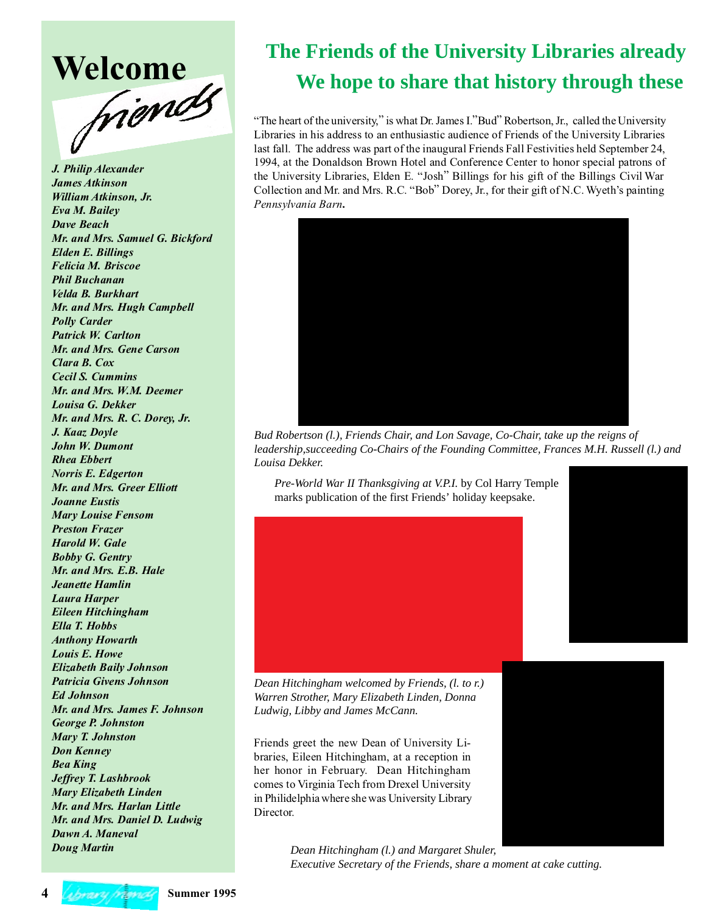

*J. Philip Alexander James Atkinson William Atkinson, Jr. Eva M. Bailey Dave Beach Mr. and Mrs. Samuel G. Bickford Elden E. Billings Felicia M. Briscoe Phil Buchanan Velda B. Burkhart Mr. and Mrs. Hugh Campbell Polly Carder Patrick W. Carlton Mr. and Mrs. Gene Carson Clara B. Cox Cecil S. Cummins Mr. and Mrs. W.M. Deemer Louisa G. Dekker Mr. and Mrs. R. C. Dorey, Jr. J. Kaaz Doyle John W. Dumont Rhea Ebbert Norris E. Edgerton Mr. and Mrs. Greer Elliott Joanne Eustis Mary Louise Fensom Preston Frazer Harold W. Gale Bobby G. Gentry Mr. and Mrs. E.B. Hale Jeanette Hamlin Laura Harper Eileen Hitchingham Ella T. Hobbs Anthony Howarth Louis E. Howe Elizabeth Baily Johnson Patricia Givens Johnson Ed Johnson Mr. and Mrs. James F. Johnson George P. Johnston Mary T. Johnston Don Kenney Bea King Jeffrey T. Lashbrook Mary Elizabeth Linden Mr. and Mrs. Harlan Little Mr. and Mrs. Daniel D. Ludwig Dawn A. Maneval Doug Martin*

# **We hope to share that history through these**<br> **Mentropology Experience of the university** "is what De Lewis 1" **The Friends of the University Libraries already**

"The heart of the university," is what Dr. James I."Bud" Robertson, Jr., called the University Libraries in his address to an enthusiastic audience of Friends of the University Libraries last fall. The address was part of the inaugural Friends Fall Festivities held September 24, 1994, at the Donaldson Brown Hotel and Conference Center to honor special patrons of the University Libraries, Elden E. "Josh" Billings for his gift of the Billings Civil War Collection and Mr. and Mrs. R.C. "Bob" Dorey, Jr., for their gift of N.C. Wyeth's painting *Pennsylvania Barn***.**



*Bud Robertson (l.), Friends Chair, and Lon Savage, Co-Chair, take up the reigns of leadership,succeeding Co-Chairs of the Founding Committee, Frances M.H. Russell (l.) and Louisa Dekker.*

*Pre-World War II Thanksgiving at V.P.I.* by Col Harry Temple marks publication of the first Friends' holiday keepsake.



*Dean Hitchingham welcomed by Friends, (l. to r.) Warren Strother, Mary Elizabeth Linden, Donna Ludwig, Libby and James McCann.*

Friends greet the new Dean of University Libraries, Eileen Hitchingham, at a reception in her honor in February. Dean Hitchingham comes to Virginia Tech from Drexel University in Philidelphia where she was University Library Director.

> *Dean Hitchingham (l.) and Margaret Shuler, Executive Secretary of the Friends, share a moment at cake cutting.*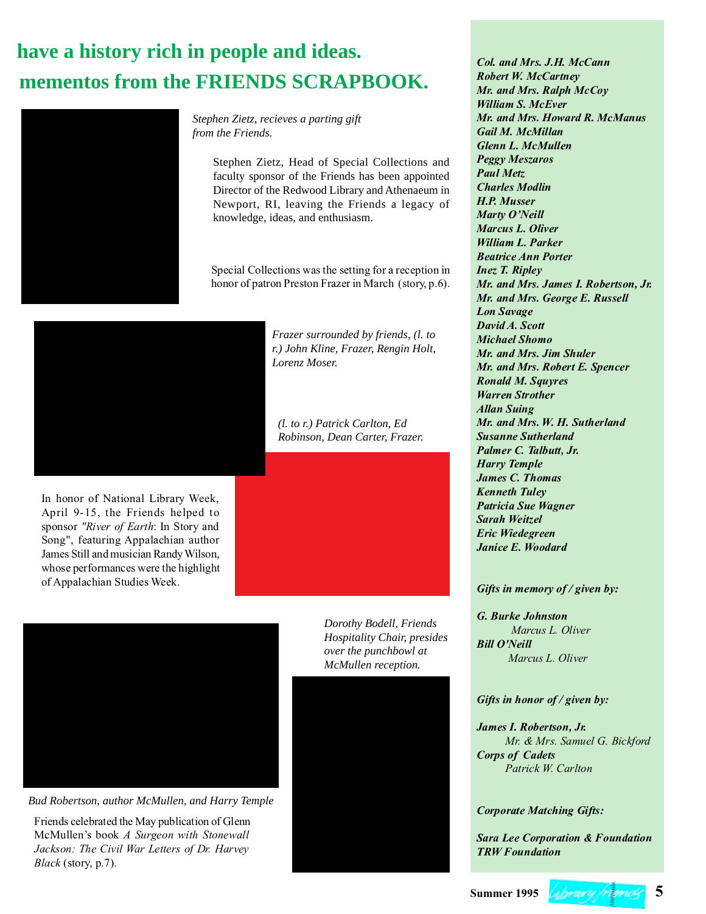# **mementos from the FRIENDS SCRAPBOOK. have a history rich in people and ideas.**



*Stephen Zietz, recieves a parting gift from the Friends.*

> Stephen Zietz, Head of Special Collections and faculty sponsor of the Friends has been appointed Director of the Redwood Library and Athenaeum in Newport, RI, leaving the Friends a legacy of knowledge, ideas, and enthusiasm.

> Special Collections was the setting for a reception in honor of patron Preston Frazer in March (story, p.6).



In honor of National Library Week, April 9-15, the Friends helped to sponsor *"River of Earth*: In Story and Song", featuring Appalachian author James Still and musician Randy Wilson, whose performances were the highlight of Appalachian Studies Week.

*Frazer surrounded by friends, (l. to r.) John Kline, Frazer, Rengin Holt, Lorenz Moser.*

*(l. to r.) Patrick Carlton, Ed Robinson, Dean Carter, Frazer.*



*Bud Robertson, author McMullen, and Harry Temple*

Friends celebrated the May publication of Glenn McMullen's book *A Surgeon with Stonewall Jackson: The Civil War Letters of Dr. Harvey Black* (story, p.7).

*Dorothy Bodell, Friends Hospitality Chair, presides over the punchbowl at McMullen reception.*



*Col. and Mrs. J.H. McCann Robert W. McCartney Mr. and Mrs. Ralph McCoy William S. McEver Mr. and Mrs. Howard R. McManus Gail M. McMillan Glenn L. McMullen Peggy Meszaros Paul Metz Charles Modlin H.P. Musser Marty O'Neill Marcus L. Oliver William L. Parker Beatrice Ann Porter Inez T. Ripley Mr. and Mrs. James I. Robertson, Jr. Mr. and Mrs. George E. Russell Lon Savage David A. Scott Michael Shomo Mr. and Mrs. Jim Shuler Mr. and Mrs. Robert E. Spencer Ronald M. Squyres Warren Strother Allan Suing Mr. and Mrs. W. H. Sutherland Susanne Sutherland Palmer C. Talbutt, Jr. Harry Temple James C. Thomas Kenneth Tuley Patricia Sue Wagner Sarah Weitzel Eric Wiedegreen Janice E. Woodard*

## *Gifts in memory of / given by:*

*G. Burke Johnston Marcus L. Oliver Bill O'Neill Marcus L. Oliver*

### *Gifts in honor of / given by:*

*James I. Robertson, Jr. Mr. & Mrs. Samuel G. Bickford Corps of Cadets Patrick W. Carlton*

## *Corporate Matching Gifts:*

*Sara Lee Corporation & Foundation TRW Foundation*

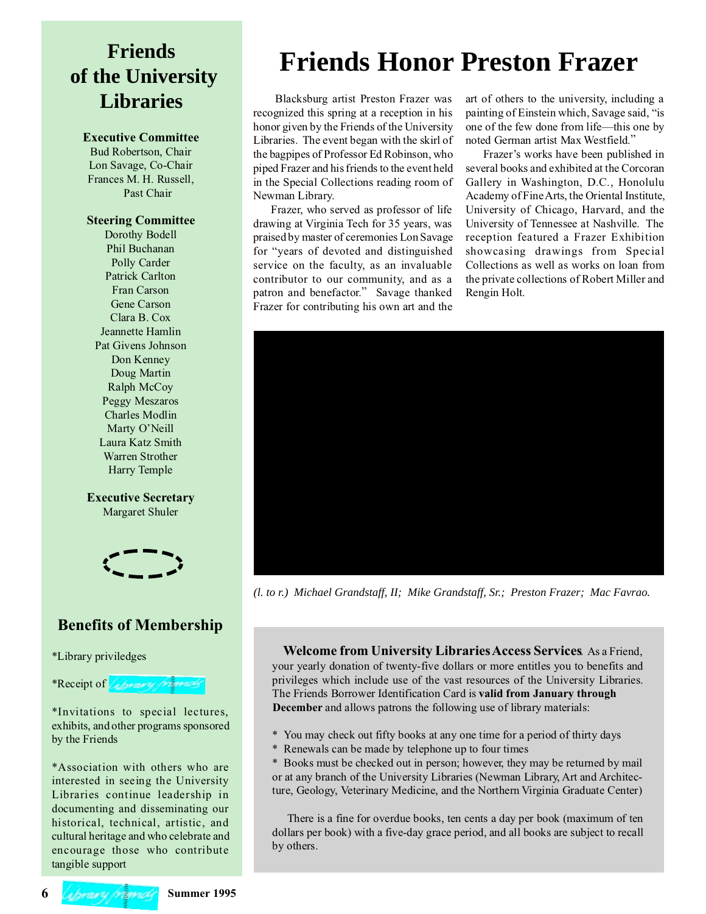# **Friends of the University Libraries**

## **Executive Committee**

Bud Robertson, Chair Lon Savage, Co-Chair Frances M. H. Russell, Past Chair

## **Steering Committee**

Dorothy Bodell Phil Buchanan Polly Carder Patrick Carlton Fran Carson Gene Carson Clara B. Cox Jeannette Hamlin Pat Givens Johnson Don Kenney Doug Martin Ralph McCoy Peggy Meszaros Charles Modlin Marty O'Neill Laura Katz Smith Warren Strother Harry Temple

**Executive Secretary** Margaret Shuler



## **Benefits of Membership**

\*Library priviledges

\*Receipt of *Library frames* 

\*Invitations to special lectures, exhibits, and other programs sponsored by the Friends

\*Association with others who are interested in seeing the University Libraries continue leadership in documenting and disseminating our historical, technical, artistic, and cultural heritage and who celebrate and encourage those who contribute tangible support

# **Friends Honor Preston Frazer**

Blacksburg artist Preston Frazer was recognized this spring at a reception in his honor given by the Friends of the University Libraries. The event began with the skirl of the bagpipes of Professor Ed Robinson, who piped Frazer and his friends to the event held in the Special Collections reading room of Newman Library.

 Frazer, who served as professor of life drawing at Virginia Tech for 35 years, was praised by master of ceremonies Lon Savage for "years of devoted and distinguished service on the faculty, as an invaluable contributor to our community, and as a patron and benefactor." Savage thanked Frazer for contributing his own art and the

art of others to the university, including a painting of Einstein which, Savage said, "is one of the few done from life—this one by noted German artist Max Westfield."

 Frazer's works have been published in several books and exhibited at the Corcoran Gallery in Washington, D.C., Honolulu Academy of Fine Arts, the Oriental Institute, University of Chicago, Harvard, and the University of Tennessee at Nashville. The reception featured a Frazer Exhibition showcasing drawings from Special Collections as well as works on loan from the private collections of Robert Miller and Rengin Holt.



*(l. to r.) Michael Grandstaff, II; Mike Grandstaff, Sr.; Preston Frazer; Mac Favrao.*

 **Welcome from University Libraries Access Services**. As a Friend, your yearly donation of twenty-five dollars or more entitles you to benefits and privileges which include use of the vast resources of the University Libraries. The Friends Borrower Identification Card is **valid from January through December** and allows patrons the following use of library materials:

\* You may check out fifty books at any one time for a period of thirty days

\* Renewals can be made by telephone up to four times

\* Books must be checked out in person; however, they may be returned by mail or at any branch of the University Libraries (Newman Library, Art and Architecture, Geology, Veterinary Medicine, and the Northern Virginia Graduate Center)

 There is a fine for overdue books, ten cents a day per book (maximum of ten dollars per book) with a five-day grace period, and all books are subject to recall by others.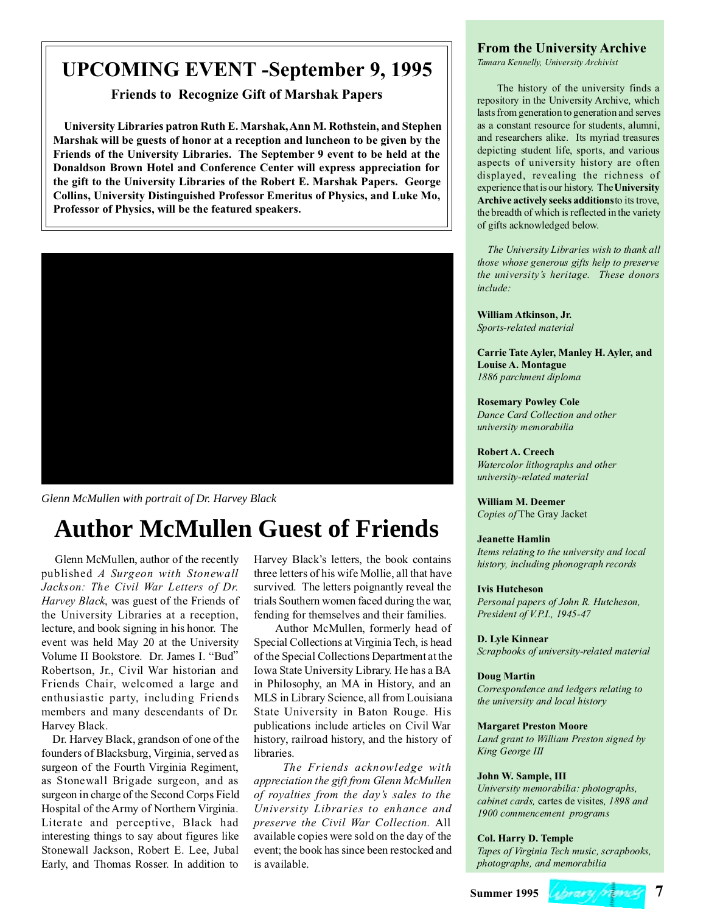## **UPCOMING EVENT -September 9, 1995**

**Friends to Recognize Gift of Marshak Papers**

 **University Libraries patron Ruth E. Marshak, Ann M. Rothstein, and Stephen Marshak will be guests of honor at a reception and luncheon to be given by the Friends of the University Libraries. The September 9 event to be held at the Donaldson Brown Hotel and Conference Center will express appreciation for the gift to the University Libraries of the Robert E. Marshak Papers. George Collins, University Distinguished Professor Emeritus of Physics, and Luke Mo, Professor of Physics, will be the featured speakers.**



*Glenn McMullen with portrait of Dr. Harvey Black*

# **Author McMullen Guest of Friends**

Glenn McMullen, author of the recently published *A Surgeon with Stonewall Jackson: The Civil War Letters of Dr. Harvey Black*, was guest of the Friends of the University Libraries at a reception, lecture, and book signing in his honor. The event was held May 20 at the University Volume II Bookstore. Dr. James I. "Bud" Robertson, Jr., Civil War historian and Friends Chair, welcomed a large and enthusiastic party, including Friends members and many descendants of Dr. Harvey Black.

 Dr. Harvey Black, grandson of one of the founders of Blacksburg, Virginia, served as surgeon of the Fourth Virginia Regiment, as Stonewall Brigade surgeon, and as surgeon in charge of the Second Corps Field Hospital of the Army of Northern Virginia. Literate and perceptive, Black had interesting things to say about figures like Stonewall Jackson, Robert E. Lee, Jubal Early, and Thomas Rosser. In addition to

Harvey Black's letters, the book contains three letters of his wife Mollie, all that have survived. The letters poignantly reveal the trials Southern women faced during the war, fending for themselves and their families.

 Author McMullen, formerly head of Special Collections at Virginia Tech, is head of the Special Collections Department at the Iowa State University Library. He has a BA in Philosophy, an MA in History, and an MLS in Library Science, all from Louisiana State University in Baton Rouge. His publications include articles on Civil War history, railroad history, and the history of libraries.

 *The Friends acknowledge with appreciation the gift from Glenn McMullen of royalties from the day's sales to the University Libraries to enhance and preserve the Civil War Collection.* All available copies were sold on the day of the event; the book has since been restocked and is available.

## **From the University Archive**

*Tamara Kennelly, University Archivist*

 The history of the university finds a repository in the University Archive, which lasts from generation to generation and serves as a constant resource for students, alumni, and researchers alike. Its myriad treasures depicting student life, sports, and various aspects of university history are often displayed, revealing the richness of experience that is our history. The **University Archive actively seeks additions** to its trove, the breadth of which is reflected in the variety of gifts acknowledged below.

 *The University Libraries wish to thank all those whose generous gifts help to preserve the university's heritage. These donors include:*

**William Atkinson, Jr.** *Sports-related material*

**Carrie Tate Ayler, Manley H. Ayler, and Louise A. Montague** *1886 parchment diploma*

## **Rosemary Powley Cole**

*Dance Card Collection and other university memorabilia*

## **Robert A. Creech**

*Watercolor lithographs and other university-related material*

**William M. Deemer** *Copies of* The Gray Jacket

## **Jeanette Hamlin**

*Items relating to the university and local history, including phonograph records*

### **Ivis Hutcheson**

*Personal papers of John R. Hutcheson, President of V.P.I., 1945-47*

### **D. Lyle Kinnear**

*Scrapbooks of university-related material*

### **Doug Martin**

*Correspondence and ledgers relating to the university and local history*

## **Margaret Preston Moore**

*Land grant to William Preston signed by King George III*

### **John W. Sample, III**

*University memorabilia: photographs, cabinet cards,* cartes de visites*, 1898 and 1900 commencement programs*

### **Col. Harry D. Temple**

*Tapes of Virginia Tech music, scrapbooks, photographs, and memorabilia*